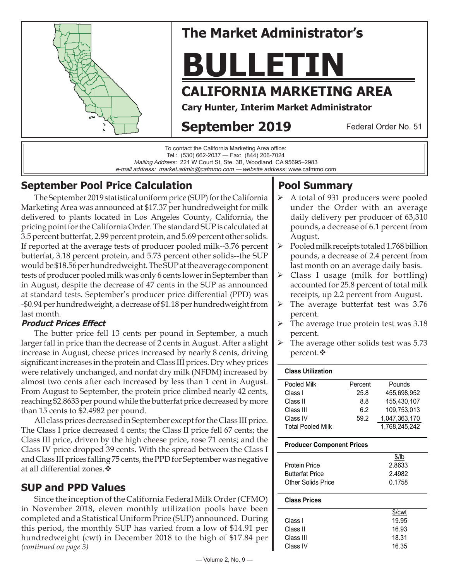

# **The Market Administrator's**

# **BULLETIN**

# **CALIFORNIA MARKETING AREA**

**Cary Hunter, Interim Market Administrator**

# **September 2019**

Federal Order No. 51

To contact the California Marketing Area office: Tel.: (530) 662-2037 — Fax: (844) 206-7024 Mailing Address: 221 W Court St, Ste. 3B, Woodland, CA 95695–2983 e-mail address: market.admin@cafmmo.com — *website address*: www.cafmmo.com

## **September Pool Price Calculation**

The September 2019 statistical uniform price (SUP) for the California Marketing Area was announced at \$17.37 per hundredweight for milk delivered to plants located in Los Angeles County, California, the pricing point for the California Order. The standard SUP is calculated at 3.5 percent butterfat, 2.99 percent protein, and 5.69 percent other solids. If reported at the average tests of producer pooled milk--3.76 percent butterfat, 3.18 percent protein, and 5.73 percent other solids--the SUP would be \$18.56 per hundredweight. The SUP at the average component tests of producer pooled milk was only 6 cents lower in September than in August, despite the decrease of 47 cents in the SUP as announced at standard tests. September's producer price differential (PPD) was -\$0.94 per hundredweight, a decrease of \$1.18 per hundredweight from last month.

#### **Product Prices Effect**

The butter price fell 13 cents per pound in September, a much larger fall in price than the decrease of 2 cents in August. After a slight increase in August, cheese prices increased by nearly 8 cents, driving significant increases in the protein and Class III prices. Dry whey prices were relatively unchanged, and nonfat dry milk (NFDM) increased by almost two cents after each increased by less than 1 cent in August. From August to September, the protein price climbed nearly 42 cents, reaching \$2.8633 per pound while the butterfat price decreased by more than 15 cents to \$2.4982 per pound.

All class prices decreased in September except for the Class III price. The Class I price decreased 4 cents; the Class II price fell 67 cents; the Class III price, driven by the high cheese price, rose 71 cents; and the Class IV price dropped 39 cents. With the spread between the Class I and Class III prices falling 75 cents, the PPD for September was negative at all differential zones.

## **SUP and PPD Values**

*(continued on page 3)* Since the inception of the California Federal Milk Order (CFMO) in November 2018, eleven monthly utilization pools have been completed and a Statistical Uniform Price (SUP) announced. During this period, the monthly SUP has varied from a low of \$14.91 per hundredweight (cwt) in December 2018 to the high of \$17.84 per

## **Pool Summary**

- A total of 931 producers were pooled under the Order with an average daily delivery per producer of 63,310 pounds, a decrease of 6.1 percent from August.
- $\triangleright$  Pooled milk receipts totaled 1.768 billion pounds, a decrease of 2.4 percent from last month on an average daily basis.
- $\triangleright$  Class I usage (milk for bottling) accounted for 25.8 percent of total milk receipts, up 2.2 percent from August.
- $\triangleright$  The average butterfat test was 3.76 percent.
- The average true protein test was 3.18 percent.
- The average other solids test was 5.73 percent.

#### **Class Utilization**

| Pooled Milk              | Percent | Pounds        |
|--------------------------|---------|---------------|
| Class I                  | 25.8    | 455.698.952   |
| Class II                 | 8.8     | 155,430,107   |
| Class III                | 6.2     | 109,753,013   |
| Class IV                 | 59.2    | 1,047,363,170 |
| <b>Total Pooled Milk</b> |         | 1.768.245.242 |

#### **Producer Component Prices**

| \$/lb  |
|--------|
| 2.8633 |
| 2.4982 |
| 0.1758 |
|        |

#### **Class Prices**

|           | \$/cwt |
|-----------|--------|
| Class I   | 19.95  |
| Class II  | 16.93  |
| Class III | 18.31  |
| Class IV  | 16.35  |
|           |        |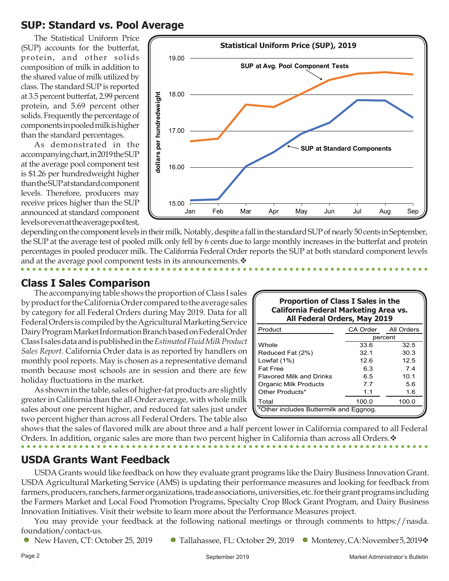## **SUP: Standard vs. Pool Average**

The Statistical Uniform Price (SUP) accounts for the butterfat, protein, and other solids composition of milk in addition to the shared value of milk utilized by class. The standard SUP is reported at 3.5 percent butterfat, 2.99 percent protein, and 5.69 percent other solids. Frequently the percentage of components in pooled milk is higher than the standard percentages.

As demonstrated in the accompanying chart, in 2019 the SUP at the average pool component test is \$1.26 per hundredweight higher than the SUP at standard component levels. Therefore, producers may receive prices higher than the SUP announced at standard component levels or even at the average pool test,



depending on the component levels in their milk. Notably, despite a fall in the standard SUP of nearly 50 cents in September, the SUP at the average test of pooled milk only fell by 6 cents due to large monthly increases in the butterfat and protein percentages in pooled producer milk. The California Federal Order reports the SUP at both standard component levels and at the average pool component tests in its announcements.  $\mathbf{\hat{v}}$ 

### **Class I Sales Comparison**

The accompanying table shows the proportion of Class I sales by product for the California Order compared to the average sales by category for all Federal Orders during May 2019. Data for all Federal Orders is compiled by the Agricultural Marketing Service Dairy Program Market Information Branch based on Federal Order Class I sales data and is published in the *Estimated Fluid Milk Product Sales Report*. California Order data is as reported by handlers on monthly pool reports. May is chosen as a representative demand month because most schools are in session and there are few holiday fluctuations in the market.

As shown in the table, sales of higher-fat products are slightly greater in California than the all-Order average, with whole milk sales about one percent higher, and reduced fat sales just under two percent higher than across all Federal Orders. The table also

| <b>Proportion of Class I Sales in the</b>    |
|----------------------------------------------|
| <b>California Federal Marketing Area vs.</b> |
| All Federal Orders, May 2019                 |

| Product                                | CA Order<br>All Orders |       |  |  |  |
|----------------------------------------|------------------------|-------|--|--|--|
|                                        | percent                |       |  |  |  |
| Whole                                  | 33.6                   | 32.5  |  |  |  |
| Reduced Fat (2%)                       | 32.1                   | 30.3  |  |  |  |
| Lowfat (1%)                            | 126                    | 12.5  |  |  |  |
| <b>Fat Free</b>                        | 6.3                    | 7.4   |  |  |  |
| <b>Flavored Milk and Drinks</b>        | 6.5                    | 10.1  |  |  |  |
| Organic Milk Products                  | 7.7                    | 5.6   |  |  |  |
| Other Products*                        | 1.1                    | 1.6   |  |  |  |
| Total                                  | 100.0                  | 100.0 |  |  |  |
| *Other includes Buttermilk and Eggnog. |                        |       |  |  |  |

shows that the sales of flavored milk are about three and a half percent lower in California compared to all Federal Orders. In addition, organic sales are more than two percent higher in California than across all Orders.  $\cdot$ 

## **USDA Grants Want Feedback**

USDA Grants would like feedback on how they evaluate grant programs like the Dairy Business Innovation Grant. USDA Agricultural Marketing Service (AMS) is updating their performance measures and looking for feedback from farmers, producers, ranchers, farmer organizations, trade associations, universities, etc. for their grant programs including the Farmers Market and Local Food Promotion Programs, Specialty Crop Block Grant Program, and Dairy Business Innovation Initiatives. Visit their website to learn more about the Performance Measures project.

You may provide your feedback at the following national meetings or through comments to https://nasda. foundation/contact-us.

- - New Haven, CT: October 25, 2019 Tallahassee, FL: October 29, 2019 Monterey, CA: November 5, 2019❖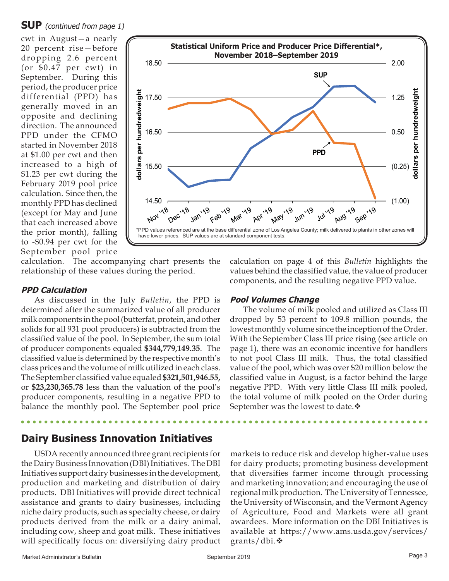#### **SUP** (continued from page 1)

cwt in August—a nearly 20 percent rise—before dropping 2.6 percent (or \$0.47 per cwt) in September. During this period, the producer price differential (PPD) has generally moved in an opposite and declining direction. The announced PPD under the CFMO started in November 2018 at \$1.00 per cwt and then increased to a high of \$1.23 per cwt during the February 2019 pool price calculation. Since then, the monthly PPD has declined (except for May and June that each increased above the prior month), falling to -\$0.94 per cwt for the September pool price



calculation. The accompanying chart presents the relationship of these values during the period.

#### **PPD Calculation**

As discussed in the July *Bulletin*, the PPD is determined after the summarized value of all producer milk components in the pool (butterfat, protein, and other solids for all 931 pool producers) is subtracted from the classified value of the pool. In September, the sum total of producer components equaled **\$344,779,149.35**.The classified value is determined by the respective month's class prices and the volume of milk utilized in each class. The September classified value equaled **\$321,501,946.55,**  or **\$23,230,365.78** less than the valuation of the pool's producer components, resulting in a negative PPD to balance the monthly pool. The September pool price

## **Dairy Business Innovation Initiatives**

USDA recently announced three grant recipients for the Dairy Business Innovation (DBI) Initiatives. The DBI Initiatives support dairy businesses in the development, production and marketing and distribution of dairy products. DBI Initiatives will provide direct technical assistance and grants to dairy businesses, including niche dairy products, such as specialty cheese, or dairy products derived from the milk or a dairy animal, including cow, sheep and goat milk. These initiatives will specifically focus on: diversifying dairy product calculation on page 4 of this *Bulletin* highlights the values behind the classified value, the value of producer components, and the resulting negative PPD value.

#### **Pool Volumes Change**

The volume of milk pooled and utilized as Class III dropped by 53 percent to 109.8 million pounds, the lowest monthly volume since the inception of the Order. With the September Class III price rising (see article on page 1), there was an economic incentive for handlers to not pool Class III milk. Thus, the total classified value of the pool, which was over \$20 million below the classified value in August, is a factor behind the large negative PPD. With very little Class III milk pooled, the total volume of milk pooled on the Order during September was the lowest to date. $\mathbf{\hat{v}}$ 

markets to reduce risk and develop higher-value uses for dairy products; promoting business development that diversifies farmer income through processing and marketing innovation; and encouraging the use of regional milk production. The University of Tennessee, the University of Wisconsin, and the Vermont Agency of Agriculture, Food and Markets were all grant awardees. More information on the DBI Initiatives is available at https://www.ams.usda.gov/services/ grants/dbi.